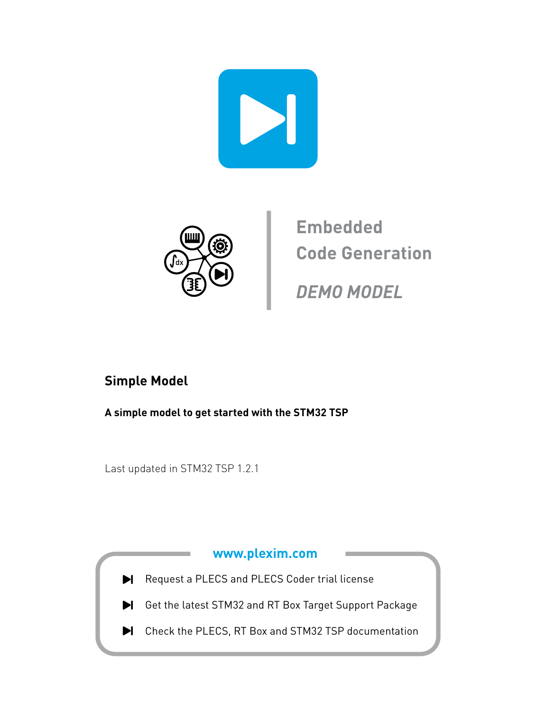



**Embedded Code Generation**

**DEMO MODEL**

### **Simple Model**

**A simple model to get started with the STM32 TSP**

Last updated in STM32 TSP 1.2.1

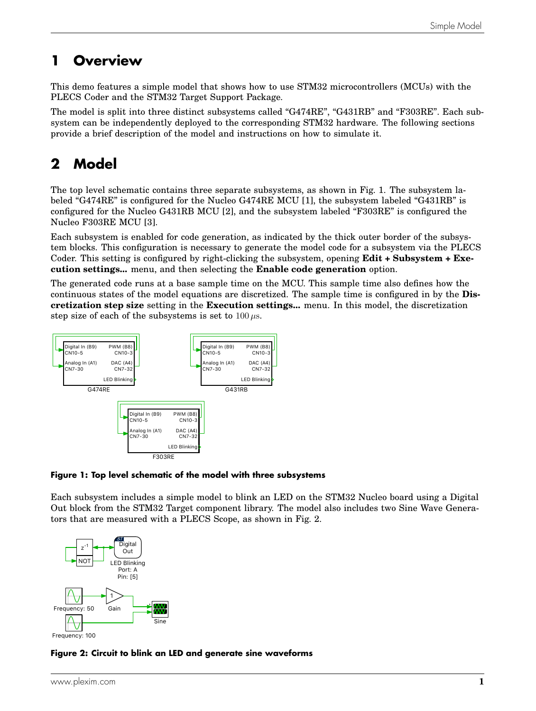### **1 Overview**

This demo features a simple model that shows how to use STM32 microcontrollers (MCUs) with the PLECS Coder and the STM32 Target Support Package.

The model is split into three distinct subsystems called "G474RE", "G431RB" and "F303RE". Each subsystem can be independently deployed to the corresponding STM32 hardware. The following sections provide a brief description of the model and instructions on how to simulate it.

# **2 Model**

The top level schematic contains three separate subsystems, as shown in Fig. [1.](#page-1-0) The subsystem labeled "G474RE" is configured for the Nucleo G474RE MCU [\[1\]](#page-4-0), the subsystem labeled "G431RB" is configured for the Nucleo G431RB MCU [\[2\]](#page-4-1), and the subsystem labeled "F303RE" is configured the Nucleo F303RE MCU [\[3\]](#page-4-2).

Each subsystem is enabled for code generation, as indicated by the thick outer border of the subsystem blocks. This configuration is necessary to generate the model code for a subsystem via the PLECS Coder. This setting is configured by right-clicking the subsystem, opening **Edit + Subsystem + Execution settings...** menu, and then selecting the **Enable code generation** option.

The generated code runs at a base sample time on the MCU. This sample time also defines how the continuous states of the model equations are discretized. The sample time is configured in by the **Discretization step size** setting in the **Execution settings...** menu. In this model, the discretization step size of each of the subsystems is set to  $100 \,\mu s$ .

<span id="page-1-0"></span>

#### **Figure 1: Top level schematic of the model with three subsystems**

Each subsystem includes a simple model to blink an LED on the STM32 Nucleo board using a Digital Out block from the STM32 Target component library. The model also includes two Sine Wave Generators that are measured with a PLECS Scope, as shown in Fig. [2.](#page-1-1)

<span id="page-1-1"></span>

**Figure 2: Circuit to blink an LED and generate sine waveforms**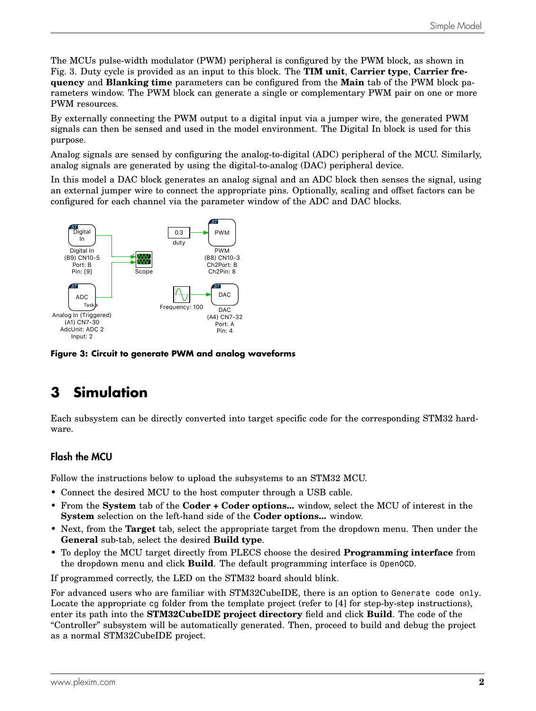The MCUs pulse-width modulator (PWM) peripheral is configured by the PWM block, as shown in Fig. [3.](#page-2-0) Duty cycle is provided as an input to this block. The **TIM unit**, **Carrier type**, **Carrier frequency** and **Blanking time** parameters can be configured from the **Main** tab of the PWM block parameters window. The PWM block can generate a single or complementary PWM pair on one or more PWM resources.

By externally connecting the PWM output to a digital input via a jumper wire, the generated PWM signals can then be sensed and used in the model environment. The Digital In block is used for this purpose.

Analog signals are sensed by configuring the analog-to-digital (ADC) peripheral of the MCU. Similarly, analog signals are generated by using the digital-to-analog (DAC) peripheral device.

In this model a DAC block generates an analog signal and an ADC block then senses the signal, using an external jumper wire to connect the appropriate pins. Optionally, scaling and offset factors can be configured for each channel via the parameter window of the ADC and DAC blocks.

<span id="page-2-0"></span>

**Figure 3: Circuit to generate PWM and analog waveforms**

## **3 Simulation**

Each subsystem can be directly converted into target specific code for the corresponding STM32 hardware.

### Flash the MCU

Follow the instructions below to upload the subsystems to an STM32 MCU.

- Connect the desired MCU to the host computer through a USB cable.
- From the **System** tab of the **Coder + Coder options...** window, select the MCU of interest in the **System** selection on the left-hand side of the **Coder options...** window.
- Next, from the **Target** tab, select the appropriate target from the dropdown menu. Then under the **General** sub-tab, select the desired **Build type**.
- To deploy the MCU target directly from PLECS choose the desired **Programming interface** from the dropdown menu and click **Build**. The default programming interface is OpenOCD.

If programmed correctly, the LED on the STM32 board should blink.

For advanced users who are familiar with STM32CubeIDE, there is an option to Generate code only. Locate the appropriate cg folder from the template project (refer to [\[4\]](#page-4-3) for step-by-step instructions), enter its path into the **STM32CubeIDE project directory** field and click **Build**. The code of the "Controller" subsystem will be automatically generated. Then, proceed to build and debug the project as a normal STM32CubeIDE project.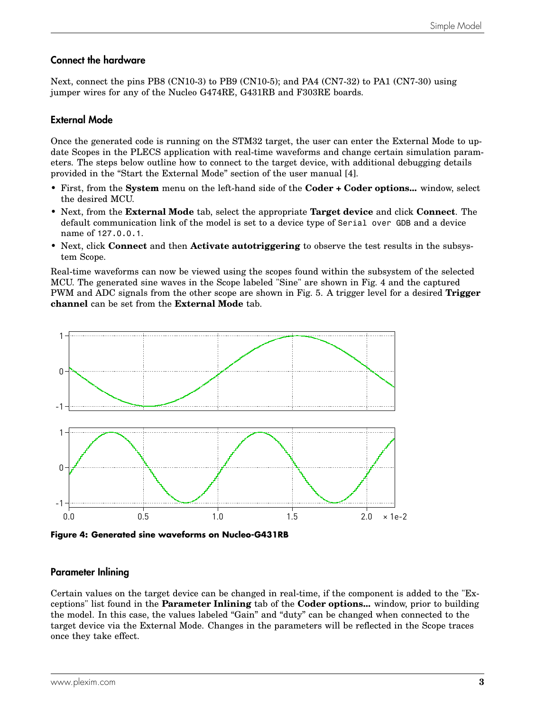#### Connect the hardware

Next, connect the pins PB8 (CN10-3) to PB9 (CN10-5); and PA4 (CN7-32) to PA1 (CN7-30) using jumper wires for any of the Nucleo G474RE, G431RB and F303RE boards.

#### External Mode

Once the generated code is running on the STM32 target, the user can enter the External Mode to update Scopes in the PLECS application with real-time waveforms and change certain simulation parameters. The steps below outline how to connect to the target device, with additional debugging details provided in the "Start the External Mode" section of the user manual [\[4\]](#page-4-3).

- First, from the **System** menu on the left-hand side of the **Coder + Coder options...** window, select the desired MCU.
- Next, from the **External Mode** tab, select the appropriate **Target device** and click **Connect**. The default communication link of the model is set to a device type of Serial over GDB and a device name of 127.0.0.1.
- Next, click **Connect** and then **Activate autotriggering** to observe the test results in the subsystem Scope.

Real-time waveforms can now be viewed using the scopes found within the subsystem of the selected MCU. The generated sine waves in the Scope labeled "Sine" are shown in Fig. [4](#page-3-0) and the captured PWM and ADC signals from the other scope are shown in Fig. [5.](#page-4-4) A trigger level for a desired **Trigger channel** can be set from the **External Mode** tab.

<span id="page-3-0"></span>

**Figure 4: Generated sine waveforms on Nucleo-G431RB**

#### Parameter Inlining

Certain values on the target device can be changed in real-time, if the component is added to the "Exceptions" list found in the **Parameter Inlining** tab of the **Coder options...** window, prior to building the model. In this case, the values labeled "Gain" and "duty" can be changed when connected to the target device via the External Mode. Changes in the parameters will be reflected in the Scope traces once they take effect.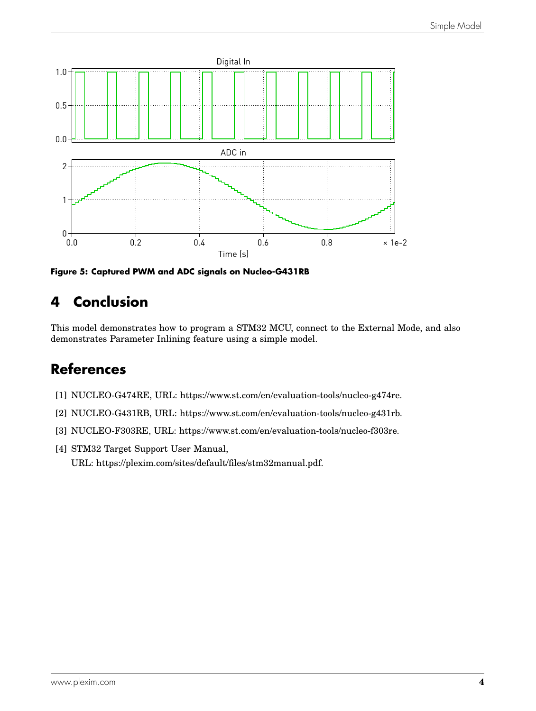<span id="page-4-4"></span>

**Figure 5: Captured PWM and ADC signals on Nucleo-G431RB**

## **4 Conclusion**

This model demonstrates how to program a STM32 MCU, connect to the External Mode, and also demonstrates Parameter Inlining feature using a simple model.

### **References**

- <span id="page-4-0"></span>[1] NUCLEO-G474RE, URL: [https://www.st.com/en/evaluation-tools/nucleo-g474re.](https://www.st.com/en/evaluation-tools/nucleo-g474re)
- <span id="page-4-1"></span>[2] NUCLEO-G431RB, URL: [https://www.st.com/en/evaluation-tools/nucleo-g431rb.](https://www.st.com/en/evaluation-tools/nucleo-g431rb)
- <span id="page-4-2"></span>[3] NUCLEO-F303RE, URL: [https://www.st.com/en/evaluation-tools/nucleo-f303re.](https://www.st.com/en/evaluation-tools/nucleo-f303re)
- <span id="page-4-3"></span>[4] STM32 Target Support User Manual, URL: [https://plexim.com/sites/default/files/stm32manual.pdf.](https://plexim.com/sites/default/files/stm32manual.pdf)